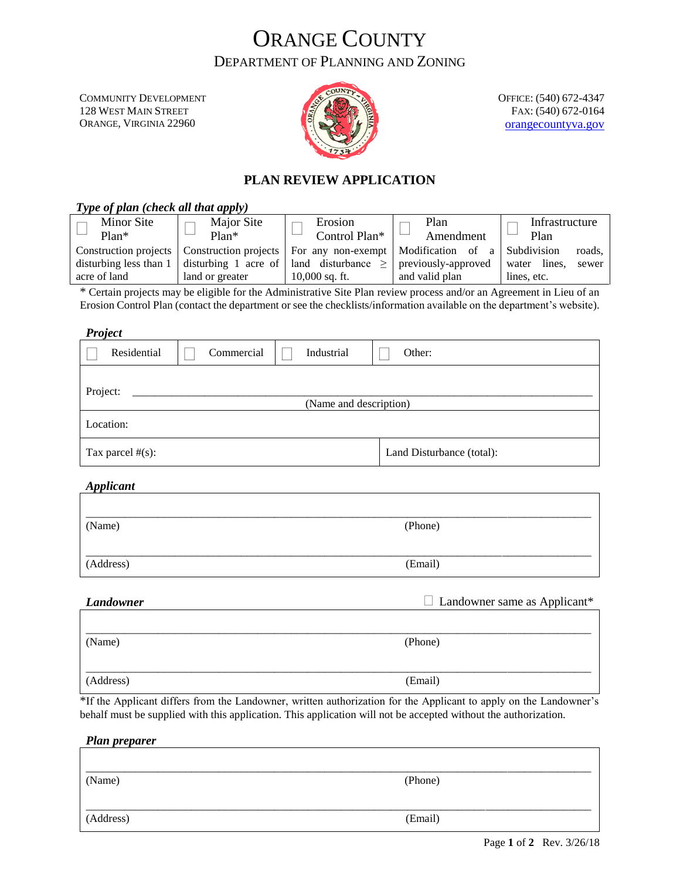# ORANGE COUNTY DEPARTMENT OF PLANNING AND ZONING

COMMUNITY DEVELOPMENT 128 WEST MAIN STREET ORANGE, VIRGINIA 22960



OFFICE: (540) 672-4347 FAX: (540) 672-0164 [orangecountyva.gov](http://www.orangecova.com/)

### **PLAN REVIEW APPLICATION**

| Type of plan (check all that apply)           |                       |                                                                                                                                                                                                                         |                   |                                                |
|-----------------------------------------------|-----------------------|-------------------------------------------------------------------------------------------------------------------------------------------------------------------------------------------------------------------------|-------------------|------------------------------------------------|
| Minor Site<br>$Plan*$                         | Major Site<br>$Plan*$ | Erosion<br>Control Plan*                                                                                                                                                                                                | Plan<br>Amendment | Infrastructure<br>Plan                         |
| disturbing less than $1 \mid$<br>acre of land | land or greater       | Construction projects $\vert$ Construction projects $\vert$ For any non-exempt $\vert$ Modification of a $\vert$ Subdivision<br>disturbing 1 acre of   land disturbance $\ge$   previously-approved<br>$10,000$ sq. ft. | and valid plan    | roads,<br>water lines.<br>sewer<br>lines, etc. |

\* Certain projects may be eligible for the Administrative Site Plan review process and/or an Agreement in Lieu of an Erosion Control Plan (contact the department or see the checklists/information available on the department's website).

*Project*

| 1.0                                |            |            |                           |  |
|------------------------------------|------------|------------|---------------------------|--|
| Residential                        | Commercial | Industrial | Other:                    |  |
| Project:<br>(Name and description) |            |            |                           |  |
| Location:                          |            |            |                           |  |
| Tax parcel $#(s)$ :                |            |            | Land Disturbance (total): |  |

*Applicant*

| (Name)    | (Phone) |  |
|-----------|---------|--|
| (Address) | (Email) |  |

| Landowner | $\Box$ Landowner same as Applicant* |
|-----------|-------------------------------------|
|           |                                     |
| (Name)    | (Phone)                             |
| (Address) | (Email)                             |

\*If the Applicant differs from the Landowner, written authorization for the Applicant to apply on the Landowner's behalf must be supplied with this application. This application will not be accepted without the authorization.

*Plan preparer*

| (Name)    | (Phone) |  |
|-----------|---------|--|
|           |         |  |
| (Address) | (Email) |  |